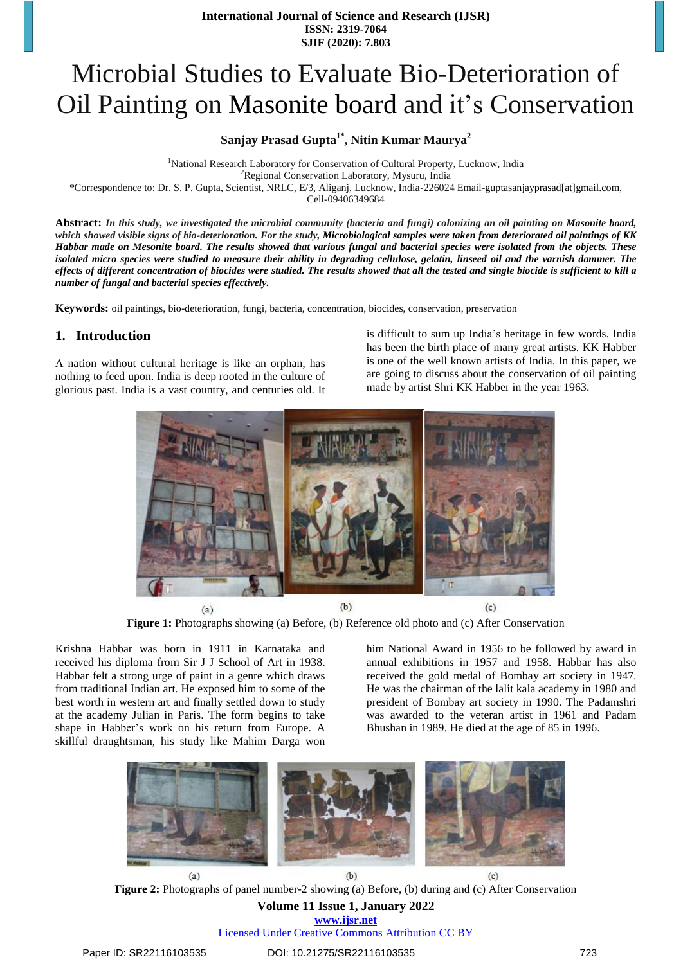# Microbial Studies to Evaluate Bio-Deterioration of Oil Painting on Masonite board and it's Conservation

**Sanjay Prasad Gupta1\* , Nitin Kumar Maurya<sup>2</sup>**

<sup>1</sup>National Research Laboratory for Conservation of Cultural Property, Lucknow, India <sup>2</sup>Regional Conservation Laboratory, Mysuru, India \*Correspondence to: Dr. S. P. Gupta, Scientist, NRLC, E/3, Aliganj, Lucknow, India-226024 Email-guptasanjayprasad[at]gmail.com, Cell-09406349684

Abstract: In this study, we investigated the microbial community (bacteria and fungi) colonizing an oil painting on Masonite board, which showed visible signs of bio-deterioration. For the study, Microbiological samples were taken from deteriorated oil paintings of KK Habbar made on Mesonite board. The results showed that various fungal and bacterial species were isolated from the objects. These isolated micro species were studied to measure their ability in degrading cellulose, gelatin, linseed oil and the varnish dammer. The effects of different concentration of biocides were studied. The results showed that all the tested and single biocide is sufficient to kill a *number of fungal and bacterial species effectively.*

**Keywords:** oil paintings, bio-deterioration, fungi, bacteria, concentration, biocides, conservation, preservation

## **1. Introduction**

A nation without cultural heritage is like an orphan, has nothing to feed upon. India is deep rooted in the culture of glorious past. India is a vast country, and centuries old. It is difficult to sum up India's heritage in few words. India has been the birth place of many great artists. KK Habber is one of the well known artists of India. In this paper, we are going to discuss about the conservation of oil painting made by artist Shri KK Habber in the year 1963.



**Figure 1:** Photographs showing (a) Before, (b) Reference old photo and (c) After Conservation

Krishna Habbar was born in 1911 in Karnataka and received his diploma from Sir J J School of Art in 1938. Habbar felt a strong urge of paint in a genre which draws from traditional Indian art. He exposed him to some of the best worth in western art and finally settled down to study at the academy Julian in Paris. The form begins to take shape in Habber's work on his return from Europe. A skillful draughtsman, his study like Mahim Darga won

him National Award in 1956 to be followed by award in annual exhibitions in 1957 and 1958. Habbar has also received the gold medal of Bombay art society in 1947. He was the chairman of the lalit kala academy in 1980 and president of Bombay art society in 1990. The Padamshri was awarded to the veteran artist in 1961 and Padam Bhushan in 1989. He died at the age of 85 in 1996.



**Volume 11 Issue 1, January 2022 Figure 2:** Photographs of panel number-2 showing (a) Before, (b) during and (c) After Conservation

**www.ijsr.net** Licensed Under Creative Commons Attribution CC BY

#### Paper ID: SR22116103535 DOI: 10.21275/SR22116103535 723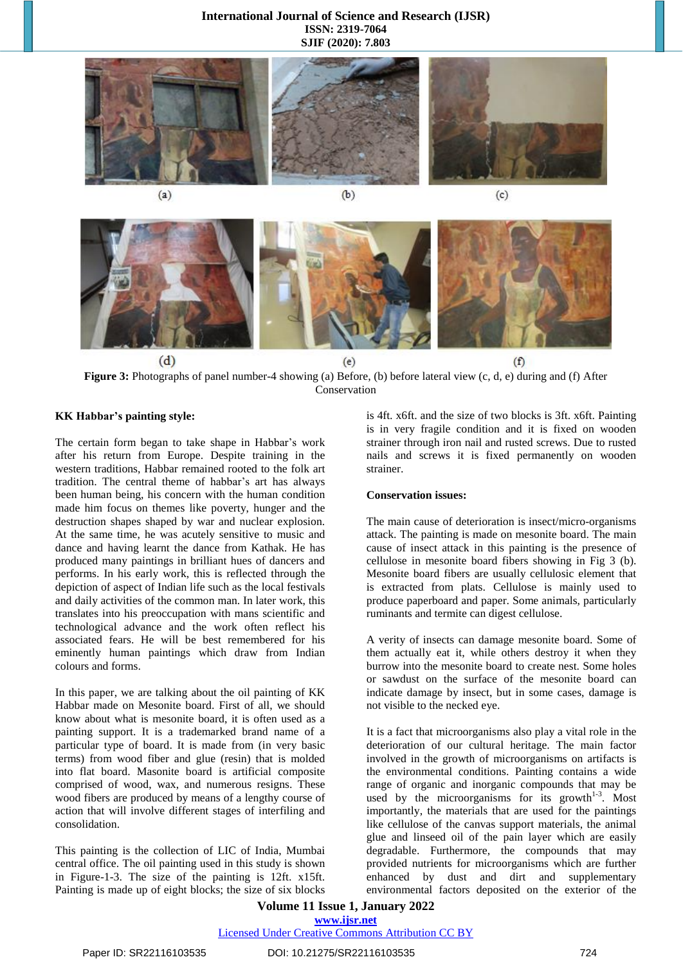#### **International Journal of Science and Research (IJSR) ISSN: 2319-7064 SJIF (2020): 7.803**





**Figure 3:** Photographs of panel number-4 showing (a) Before, (b) before lateral view (c, d, e) during and (f) After Conservation

#### **KK Habbar's painting style:**

The certain form began to take shape in Habbar's work after his return from Europe. Despite training in the western traditions, Habbar remained rooted to the folk art tradition. The central theme of habbar's art has always been human being, his concern with the human condition made him focus on themes like poverty, hunger and the destruction shapes shaped by war and nuclear explosion. At the same time, he was acutely sensitive to music and dance and having learnt the dance from Kathak. He has produced many paintings in brilliant hues of dancers and performs. In his early work, this is reflected through the depiction of aspect of Indian life such as the local festivals and daily activities of the common man. In later work, this translates into his preoccupation with mans scientific and technological advance and the work often reflect his associated fears. He will be best remembered for his eminently human paintings which draw from Indian colours and forms.

In this paper, we are talking about the oil painting of KK Habbar made on Mesonite board. First of all, we should know about what is mesonite board, it is often used as a painting support. It is a trademarked brand name of a particular type of board. It is made from (in very basic terms) from wood fiber and glue (resin) that is molded into flat board. Masonite board is artificial composite comprised of wood, wax, and numerous resigns. These wood fibers are produced by means of a lengthy course of action that will involve different stages of interfiling and consolidation.

This painting is the collection of LIC of India, Mumbai central office. The oil painting used in this study is shown in Figure-1-3. The size of the painting is 12ft. x15ft. Painting is made up of eight blocks; the size of six blocks

is 4ft. x6ft. and the size of two blocks is 3ft. x6ft. Painting is in very fragile condition and it is fixed on wooden strainer through iron nail and rusted screws. Due to rusted nails and screws it is fixed permanently on wooden strainer.

#### **Conservation issues:**

The main cause of deterioration is insect/micro-organisms attack. The painting is made on mesonite board. The main cause of insect attack in this painting is the presence of cellulose in mesonite board fibers showing in Fig 3 (b). Mesonite board fibers are usually cellulosic element that is extracted from plats. Cellulose is mainly used to produce paperboard and paper. Some animals, particularly ruminants and termite can digest cellulose.

A verity of insects can damage mesonite board. Some of them actually eat it, while others destroy it when they burrow into the mesonite board to create nest. Some holes or sawdust on the surface of the mesonite board can indicate damage by insect, but in some cases, damage is not visible to the necked eye.

It is a fact that microorganisms also play a vital role in the deterioration of our cultural heritage. The main factor involved in the growth of microorganisms on artifacts is the environmental conditions. Painting contains a wide range of organic and inorganic compounds that may be used by the microorganisms for its growth $1-3$ . Most importantly, the materials that are used for the paintings like cellulose of the canvas support materials, the animal glue and linseed oil of the pain layer which are easily degradable. Furthermore, the compounds that may provided nutrients for microorganisms which are further enhanced by dust and dirt and supplementary environmental factors deposited on the exterior of the

**Volume 11 Issue 1, January 2022 www.ijsr.net**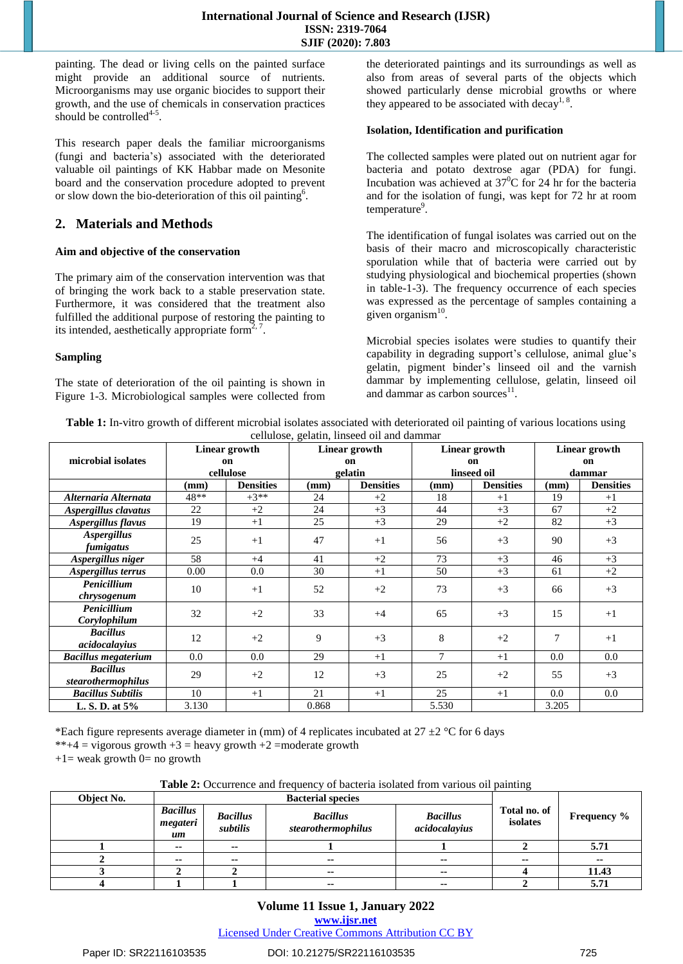painting. The dead or living cells on the painted surface might provide an additional source of nutrients. Microorganisms may use organic biocides to support their growth, and the use of chemicals in conservation practices should be controlled<sup>4-5</sup>.

This research paper deals the familiar microorganisms (fungi and bacteria's) associated with the deteriorated valuable oil paintings of KK Habbar made on Mesonite board and the conservation procedure adopted to prevent or slow down the bio-deterioration of this oil painting<sup>6</sup>.

## **2. Materials and Methods**

#### **Aim and objective of the conservation**

The primary aim of the conservation intervention was that of bringing the work back to a stable preservation state. Furthermore, it was considered that the treatment also fulfilled the additional purpose of restoring the painting to its intended, aesthetically appropriate form<sup> $2, 7$ </sup>.

#### **Sampling**

The state of deterioration of the oil painting is shown in Figure 1-3. Microbiological samples were collected from the deteriorated paintings and its surroundings as well as also from areas of several parts of the objects which showed particularly dense microbial growths or where they appeared to be associated with decay<sup>1, 8</sup>.

#### **Isolation, Identification and purification**

The collected samples were plated out on nutrient agar for bacteria and potato dextrose agar (PDA) for fungi. Incubation was achieved at  $37^0C$  for 24 hr for the bacteria and for the isolation of fungi, was kept for 72 hr at room temperature<sup>9</sup>.

The identification of fungal isolates was carried out on the basis of their macro and microscopically characteristic sporulation while that of bacteria were carried out by studying physiological and biochemical properties (shown in table-1-3). The frequency occurrence of each species was expressed as the percentage of samples containing a given organism<sup>10</sup>.

Microbial species isolates were studies to quantify their capability in degrading support's cellulose, animal glue's gelatin, pigment binder's linseed oil and the varnish dammar by implementing cellulose, gelatin, linseed oil and dammar as carbon sources<sup>11</sup>.

**Table 1:** In-vitro growth of different microbial isolates associated with deteriorated oil painting of various locations using cellulose, gelatin, linseed oil and dammar

|                                       | Linear growth   |                  |                          | controlle, genering innocen on this committee<br>Linear growth | Linear growth     |                  | Linear growth   |                  |
|---------------------------------------|-----------------|------------------|--------------------------|----------------------------------------------------------------|-------------------|------------------|-----------------|------------------|
| microbial isolates                    | on<br>cellulose |                  | <sub>on</sub><br>gelatin |                                                                | on<br>linseed oil |                  | on<br>dammar    |                  |
|                                       |                 |                  |                          |                                                                |                   |                  |                 |                  |
|                                       | (mm)            | <b>Densities</b> | (mm)                     | <b>Densities</b>                                               | $(\mathbf{mm})$   | <b>Densities</b> | $(\mathbf{mm})$ | <b>Densities</b> |
| Alternaria Alternata                  | 48**            | $+3**$           | 24                       | $+2$                                                           | 18                | $+1$             | 19              | $+1$             |
| Aspergillus clavatus                  | 22              | $+2$             | 24                       | $+3$                                                           | 44                | $+3$             | 67              | $+2$             |
| Aspergillus flavus                    | 19              | $+1$             | 25                       | $+3$                                                           | 29                | $+2$             | 82              | $+3$             |
| <b>Aspergillus</b><br>fumigatus       | 25              | $+1$             | 47                       | $+1$                                                           | 56                | $+3$             | 90              | $+3$             |
| Aspergillus niger                     | 58              | $+4$             | 41                       | $+2$                                                           | 73                | $+3$             | 46              | $+3$             |
| Aspergillus terrus                    | 0.00            | 0.0              | 30                       | $+1$                                                           | 50                | $+3$             | 61              | $+2$             |
| Penicillium                           | 10              | $+1$             | 52                       | $+2$                                                           | 73                | $+3$             | 66              | $+3$             |
| chrysogenum                           |                 |                  |                          |                                                                |                   |                  |                 |                  |
| Penicillium<br>Corylophilum           | 32              | $+2$             | 33                       | $+4$                                                           | 65                | $+3$             | 15              | $+1$             |
| <b>Bacillus</b><br>acidocalayius      | 12              | $+2$             | 9                        | $+3$                                                           | 8                 | $+2$             | 7               | $+1$             |
| <b>Bacillus megaterium</b>            | 0.0             | $0.0\,$          | 29                       | $+1$                                                           | 7                 | $+1$             | 0.0             | 0.0              |
| <b>Bacillus</b><br>stearothermophilus | 29              | $+2$             | 12                       | $+3$                                                           | 25                | $+2$             | 55              | $+3$             |
| <b>Bacillus Subtilis</b>              | 10              | $+1$             | 21                       | $+1$                                                           | 25                | $+1$             | 0.0             | 0.0              |
| L. S. D. at 5%                        | 3.130           |                  | 0.868                    |                                                                | 5.530             |                  | 3.205           |                  |

\*Each figure represents average diameter in (mm) of 4 replicates incubated at  $27 \pm 2 \degree$ C for 6 days

\*\*+4 = vigorous growth  $+3$  = heavy growth  $+2$  =moderate growth

 $+1$  = weak growth 0 = no growth

**Table 2:** Occurrence and frequency of bacteria isolated from various oil painting

| Object No. |                                   |                             |                                       |                                  |                          |                    |  |
|------------|-----------------------------------|-----------------------------|---------------------------------------|----------------------------------|--------------------------|--------------------|--|
|            | <b>Bacillus</b><br>megateri<br>um | <b>Bacillus</b><br>subtilis | <b>Bacillus</b><br>stearothermophilus | <b>Bacillus</b><br>acidocalayius | Total no. of<br>isolates | <b>Frequency</b> % |  |
|            | --                                | --                          |                                       |                                  |                          | 5.71               |  |
|            | $\sim$                            | --                          | --                                    | --                               | --                       | $\sim$             |  |
|            |                                   |                             | $\sim$ $\sim$                         | $\sim$ $\sim$                    |                          | 11.43              |  |
|            |                                   |                             | --                                    | --                               |                          | 5.71               |  |

### **Volume 11 Issue 1, January 2022 www.ijsr.net**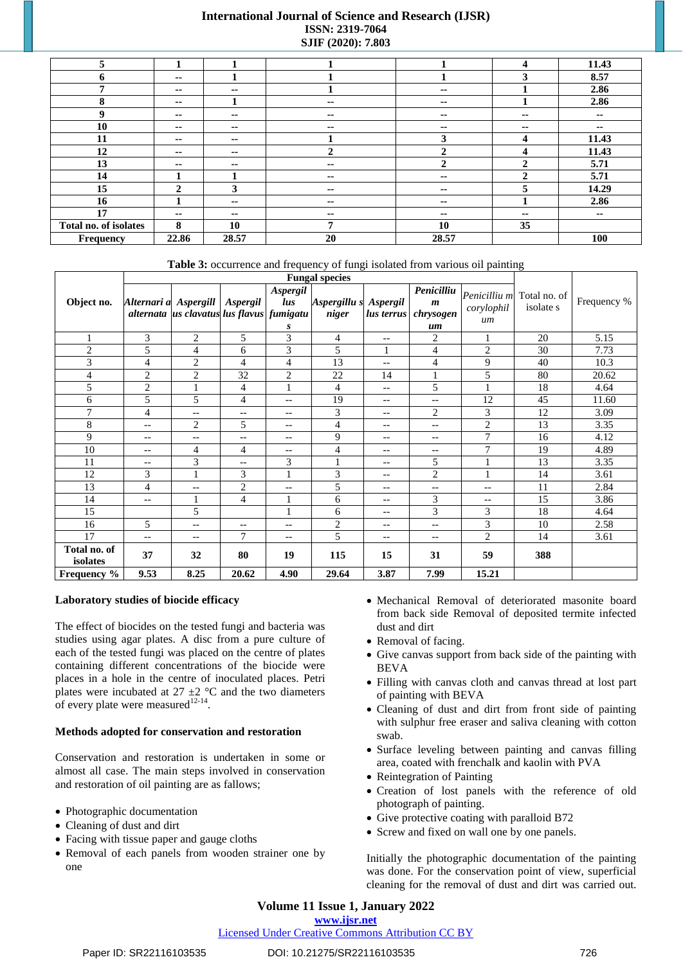## **International Journal of Science and Research (IJSR)** ISSN: 2319-7064 SJIF (2020): 7.803

| 5                     |              |            |               |              | 4  | 11.43         |
|-----------------------|--------------|------------|---------------|--------------|----|---------------|
| 6                     | --           |            |               |              | 3  | 8.57          |
| 7                     | --           | --         |               | --           |    | 2.86          |
| 8                     | --           |            | --            | $\sim$       |    | 2.86          |
| 9                     | --           | --         | $\sim$        | $\sim$       | -- | $\sim$        |
| 10                    | --           | --         | $\sim$        | $\sim$       | -- | $\sim$        |
| 11                    | --           | --         |               | 3            | 4  | 11.43         |
| 12                    | --           | --         | ↑             | $\mathbf{2}$ | 4  | 11.43         |
| 13                    | --           | $\sim$     | $\sim$        | $\mathbf{2}$ | 2  | 5.71          |
| 14                    |              |            | $\sim$ $\sim$ | $\sim$       | 2  | 5.71          |
| 15                    | $\mathbf{2}$ | 3          | --            | $\sim$       | 5  | 14.29         |
| 16                    |              | --         | $\sim$        | --           |    | 2.86          |
| 17                    | --           | $\sim$ $-$ | $\sim$        | $\sim$       | -- | $\sim$ $\sim$ |
| Total no. of isolates | 8            | 10         | 7             | 10           | 35 |               |
| Frequency             | 22.86        | 28.57      | 20            | 28.57        |    | 100           |

Table 3: occurrence and frequency of fungi isolated from various oil painting

|                          | <b>Fungal species</b>    |                                                                               |                |                      |                                |                   |                                                   |                                  |                           |             |
|--------------------------|--------------------------|-------------------------------------------------------------------------------|----------------|----------------------|--------------------------------|-------------------|---------------------------------------------------|----------------------------------|---------------------------|-------------|
| Object no.               |                          | Alternari a Aspergill   Aspergil<br>alternata us clavatus lus flavus fumigatu |                | Aspergil<br>lus<br>S | Aspergillu s Aspergil<br>niger | lus terrus        | Penicilliu<br>$\boldsymbol{m}$<br>chrysogen<br>um | Penicilliu m<br>corylophil<br>um | Total no. of<br>isolate s | Frequency % |
| $\mathbf{1}$             | 3                        | $\overline{2}$                                                                | 5              | 3                    | 4                              | $-$               | 2                                                 | 1                                | 20                        | 5.15        |
| $\overline{2}$           | 5                        | 4                                                                             | 6              | 3                    | 5                              | 1                 | $\overline{4}$                                    | $\overline{c}$                   | 30                        | 7.73        |
| 3                        | $\overline{4}$           | $\overline{2}$                                                                | 4              | 4                    | 13                             | $\qquad \qquad -$ | $\overline{4}$                                    | 9                                | 40                        | 10.3        |
| $\overline{4}$           | $\overline{2}$           | $\overline{c}$                                                                | 32             | $\overline{c}$       | 22                             | 14                | $\mathbf{1}$                                      | 5                                | 80                        | 20.62       |
| 5                        | $\overline{2}$           | 1                                                                             | 4              | 1                    | 4                              | $\qquad \qquad -$ | 5                                                 | $\mathbf{1}$                     | 18                        | 4.64        |
| 6                        | 5                        | 5                                                                             | 4              | $-\,-$               | 19                             | $\qquad \qquad -$ | $--$                                              | 12                               | 45                        | 11.60       |
| 7                        | $\overline{4}$           | --                                                                            | --             | --                   | 3                              | --                | $\overline{2}$                                    | 3                                | 12                        | 3.09        |
| 8                        | $\qquad \qquad -$        | $\overline{c}$                                                                | 5              | $\qquad \qquad -$    | 4                              | $\qquad \qquad -$ | $\qquad \qquad -$                                 | $\overline{c}$                   | 13                        | 3.35        |
| 9                        | $\overline{\phantom{m}}$ | $\qquad \qquad -$                                                             | --             | --                   | 9                              | --                | $-\,-$                                            | 7                                | 16                        | 4.12        |
| 10                       | $-$                      | 4                                                                             | 4              | $- -$                | 4                              | --                | $\qquad \qquad -$                                 | 7                                | 19                        | 4.89        |
| 11                       | $\overline{\phantom{m}}$ | 3                                                                             | $- -$          | 3                    | $\mathbf{1}$                   | --                | 5                                                 | $\mathbf{1}$                     | 13                        | 3.35        |
| 12                       | 3                        | 1                                                                             | 3              | $\mathbf{1}$         | 3                              | --                | $\overline{2}$                                    | $\mathbf{1}$                     | 14                        | 3.61        |
| 13                       | $\overline{4}$           | $- -$                                                                         | 2              | $-$                  | 5                              | $\qquad \qquad -$ | $\overline{\phantom{m}}$                          | $-$                              | 11                        | 2.84        |
| 14                       | $\overline{\phantom{m}}$ |                                                                               | 4              |                      | 6                              | --                | 3                                                 | $-$                              | 15                        | 3.86        |
| 15                       |                          | 5                                                                             |                | $\mathbf{1}$         | 6                              | $-$               | 3                                                 | 3                                | 18                        | 4.64        |
| 16                       | 5                        | $- -$                                                                         | --             | $-$                  | $\overline{c}$                 | $-$               | $\qquad \qquad -$                                 | 3                                | 10                        | 2.58        |
| 17                       | $\overline{\phantom{m}}$ | --                                                                            | $\overline{7}$ | --                   | 5                              | --                | $-\,-$                                            | $\mathbf{2}$                     | 14                        | 3.61        |
| Total no. of<br>isolates | 37                       | 32                                                                            | 80             | 19                   | 115                            | 15                | 31                                                | 59                               | 388                       |             |
| Frequency %              | 9.53                     | 8.25                                                                          | 20.62          | 4.90                 | 29.64                          | 3.87              | 7.99                                              | 15.21                            |                           |             |

#### Laboratory studies of biocide efficacy

The effect of biocides on the tested fungi and bacteria was studies using agar plates. A disc from a pure culture of each of the tested fungi was placed on the centre of plates containing different concentrations of the biocide were places in a hole in the centre of inoculated places. Petri plates were incubated at 27  $\pm$ 2 °C and the two diameters of every plate were measured<sup>12-14</sup>.

#### Methods adopted for conservation and restoration

Conservation and restoration is undertaken in some or almost all case. The main steps involved in conservation and restoration of oil painting are as fallows;

- Photographic documentation
- Cleaning of dust and dirt
- Facing with tissue paper and gauge cloths
- Removal of each panels from wooden strainer one by one
- Mechanical Removal of deteriorated masonite board from back side Removal of deposited termite infected dust and dirt
- Removal of facing.
- Give canvas support from back side of the painting with **BEVA**
- · Filling with canvas cloth and canvas thread at lost part of painting with BEVA
- Cleaning of dust and dirt from front side of painting with sulphur free eraser and saliva cleaning with cotton swah
- Surface leveling between painting and canvas filling area, coated with frenchalk and kaolin with PVA
- Reintegration of Painting
- Creation of lost panels with the reference of old photograph of painting.
- Give protective coating with paralloid B72
- Screw and fixed on wall one by one panels.

Initially the photographic documentation of the painting was done. For the conservation point of view, superficial cleaning for the removal of dust and dirt was carried out.

Volume 11 Issue 1, January 2022

www.ijsr.net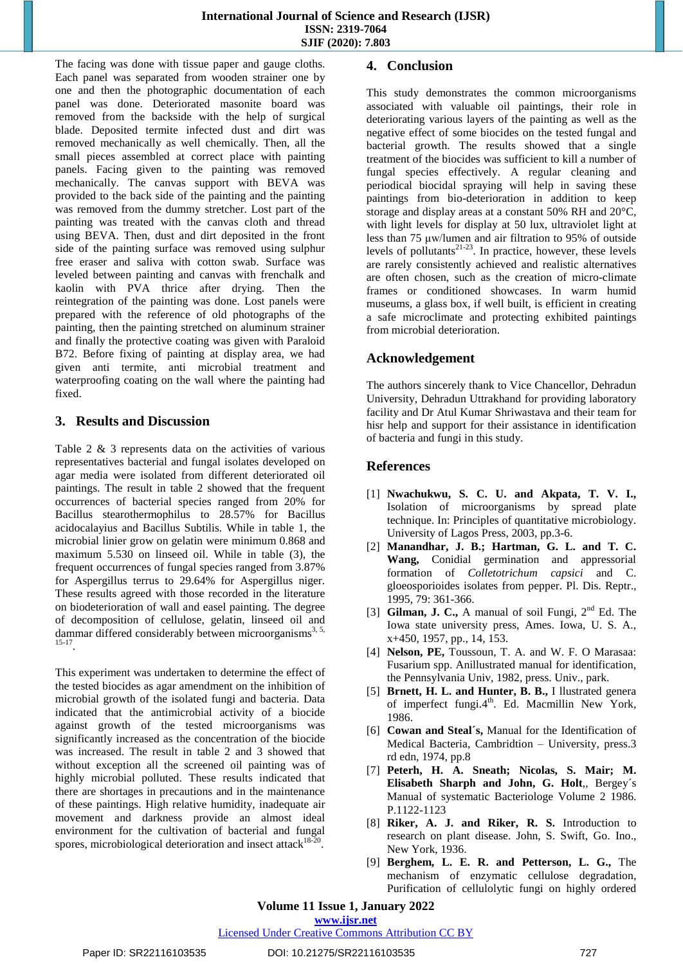The facing was done with tissue paper and gauge cloths. Each panel was separated from wooden strainer one by one and then the photographic documentation of each panel was done. Deteriorated masonite board was removed from the backside with the help of surgical blade. Deposited termite infected dust and dirt was removed mechanically as well chemically. Then, all the small pieces assembled at correct place with painting panels. Facing given to the painting was removed mechanically. The canvas support with BEVA was provided to the back side of the painting and the painting was removed from the dummy stretcher. Lost part of the painting was treated with the canvas cloth and thread using BEVA. Then, dust and dirt deposited in the front side of the painting surface was removed using sulphur free eraser and saliva with cotton swab. Surface was leveled between painting and canvas with frenchalk and kaolin with PVA thrice after drying. Then the reintegration of the painting was done. Lost panels were prepared with the reference of old photographs of the painting, then the painting stretched on aluminum strainer and finally the protective coating was given with Paraloid B72. Before fixing of painting at display area, we had given anti termite, anti microbial treatment and waterproofing coating on the wall where the painting had fixed.

## **3. Results and Discussion**

Table 2 & 3 represents data on the activities of various representatives bacterial and fungal isolates developed on agar media were isolated from different deteriorated oil paintings. The result in table 2 showed that the frequent occurrences of bacterial species ranged from 20% for Bacillus stearothermophilus to 28.57% for Bacillus acidocalayius and Bacillus Subtilis. While in table 1, the microbial linier grow on gelatin were minimum 0.868 and maximum 5.530 on linseed oil. While in table (3), the frequent occurrences of fungal species ranged from 3.87% for Aspergillus terrus to 29.64% for Aspergillus niger. These results agreed with those recorded in the literature on biodeterioration of wall and easel painting. The degree of decomposition of cellulose, gelatin, linseed oil and dammar differed considerably between microorganisms<sup>3, 5,</sup> 15-17 .

This experiment was undertaken to determine the effect of the tested biocides as agar amendment on the inhibition of microbial growth of the isolated fungi and bacteria. Data indicated that the antimicrobial activity of a biocide against growth of the tested microorganisms was significantly increased as the concentration of the biocide was increased. The result in table 2 and 3 showed that without exception all the screened oil painting was of highly microbial polluted. These results indicated that there are shortages in precautions and in the maintenance of these paintings. High relative humidity, inadequate air movement and darkness provide an almost ideal environment for the cultivation of bacterial and fungal spores, microbiological deterioration and insect attack $18\overline{20}$ .

## **4. Conclusion**

This study demonstrates the common microorganisms associated with valuable oil paintings, their role in deteriorating various layers of the painting as well as the negative effect of some biocides on the tested fungal and bacterial growth. The results showed that a single treatment of the biocides was sufficient to kill a number of fungal species effectively. A regular cleaning and periodical biocidal spraying will help in saving these paintings from bio-deterioration in addition to keep storage and display areas at a constant 50% RH and 20°C, with light levels for display at 50 lux, ultraviolet light at less than 75 μw/lumen and air filtration to 95% of outside levels of pollutants $2^{1-23}$ . In practice, however, these levels are rarely consistently achieved and realistic alternatives are often chosen, such as the creation of micro-climate frames or conditioned showcases. In warm humid museums, a glass box, if well built, is efficient in creating a safe microclimate and protecting exhibited paintings from microbial deterioration.

# **Acknowledgement**

The authors sincerely thank to Vice Chancellor, Dehradun University, Dehradun Uttrakhand for providing laboratory facility and Dr Atul Kumar Shriwastava and their team for hisr help and support for their assistance in identification of bacteria and fungi in this study.

# **References**

- [1] **Nwachukwu, S. C. U. and Akpata, T. V. I.,** Isolation of microorganisms by spread plate technique. In: Principles of quantitative microbiology. University of Lagos Press, 2003, pp.3-6.
- [2] **Manandhar, J. B.; Hartman, G. L. and T. C. Wang,** Conidial germination and appressorial formation of *Colletotrichum capsici* and C. gloeosporioides isolates from pepper. Pl. Dis. Reptr., 1995, 79: 361-366.
- [3] Gilman, J. C., A manual of soil Fungi, 2<sup>nd</sup> Ed. The Iowa state university press, Ames. Iowa, U. S. A., x+450, 1957, pp., 14, 153.
- [4] **Nelson, PE,** Toussoun, T. A. and W. F. O Marasaa: Fusarium spp. Anillustrated manual for identification, the Pennsylvania Univ, 1982, press. Univ., park.
- [5] **Brnett, H. L. and Hunter, B. B.,** I llustrated genera of imperfect fungi.4<sup>th</sup>. Ed. Macmillin New York, 1986.
- [6] **Cowan and Steal´s,** Manual for the Identification of Medical Bacteria, Cambridtion – University, press.3 rd edn, 1974, pp.8
- [7] **Peterh, H. A. Sneath; Nicolas, S. Mair; M. Elisabeth Sharph and John, G. Holt**,, Bergey´s Manual of systematic Bacteriologe Volume 2 1986. P.1122-1123
- [8] **Riker, A. J. and Riker, R. S.** Introduction to research on plant disease. John, S. Swift, Go. Ino., New York, 1936.
- [9] **Berghem, L. E. R. and Petterson, L. G.,** The mechanism of enzymatic cellulose degradation, Purification of cellulolytic fungi on highly ordered

**Volume 11 Issue 1, January 2022**

**www.ijsr.net**